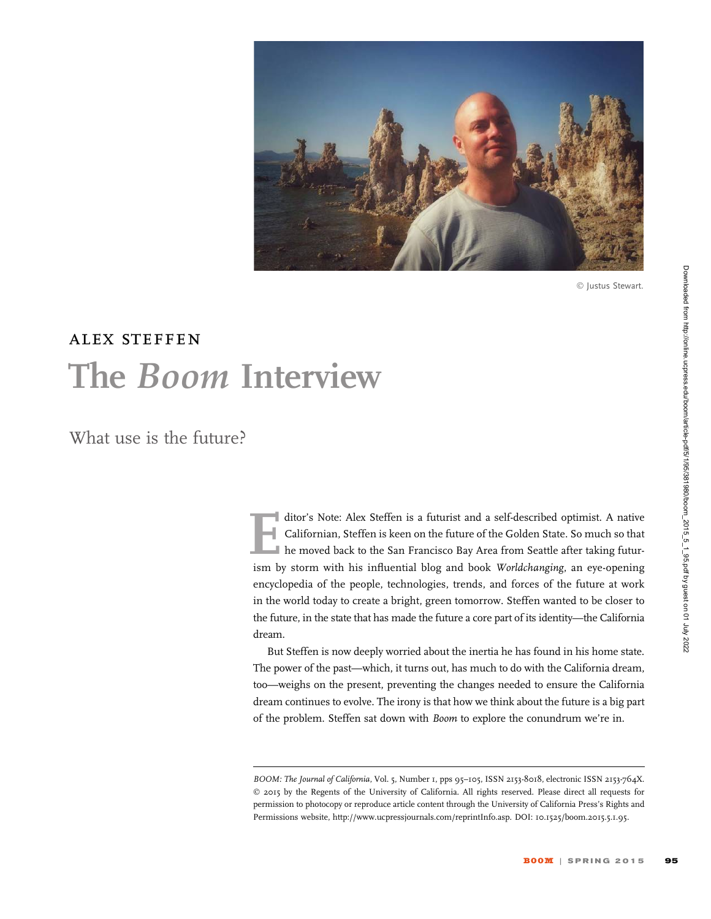

© Justus Stewart.

## alex steffen The Boom Interview

What use is the future?

ditor's Note: Alex Steffen is a futurist and a self-described optimist. A native<br>Californian, Steffen is keen on the future of the Golden State. So much so that<br>he moved back to the San Francisco Bay Area from Seattle afte Californian, Steffen is keen on the future of the Golden State. So much so that he moved back to the San Francisco Bay Area from Seattle after taking futurism by storm with his influential blog and book Worldchanging, an eye-opening encyclopedia of the people, technologies, trends, and forces of the future at work in the world today to create a bright, green tomorrow. Steffen wanted to be closer to the future, in the state that has made the future a core part of its identity—the California dream.

But Steffen is now deeply worried about the inertia he has found in his home state. The power of the past—which, it turns out, has much to do with the California dream, too—weighs on the present, preventing the changes needed to ensure the California dream continues to evolve. The irony is that how we think about the future is a big part of the problem. Steffen sat down with Boom to explore the conundrum we're in.

BOOM: The Journal of California, Vol. 5, Number 1, pps 95-105, ISSN 2153-8018, electronic ISSN 2153-764X. © 2015 by the Regents of the University of California. All rights reserved. Please direct all requests for permission to photocopy or reproduce article content through the University of California Press's Rights and Permissions website, http://www.ucpressjournals.com/reprintInfo.asp. DOI: 10.1525/boom.2015.5.1.95.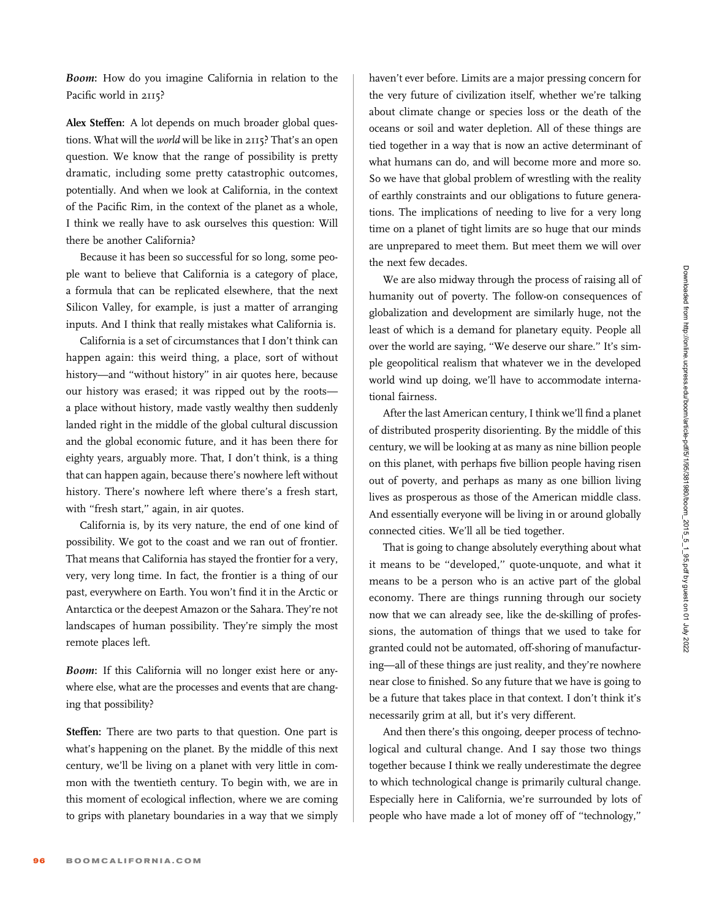Boom: How do you imagine California in relation to the Pacific world in 2115?

Alex Steffen: A lot depends on much broader global questions. What will the world will be like in 2115? That's an open question. We know that the range of possibility is pretty dramatic, including some pretty catastrophic outcomes, potentially. And when we look at California, in the context of the Pacific Rim, in the context of the planet as a whole, I think we really have to ask ourselves this question: Will there be another California?

Because it has been so successful for so long, some people want to believe that California is a category of place, a formula that can be replicated elsewhere, that the next Silicon Valley, for example, is just a matter of arranging inputs. And I think that really mistakes what California is.

California is a set of circumstances that I don't think can happen again: this weird thing, a place, sort of without history—and ''without history'' in air quotes here, because our history was erased; it was ripped out by the roots a place without history, made vastly wealthy then suddenly landed right in the middle of the global cultural discussion and the global economic future, and it has been there for eighty years, arguably more. That, I don't think, is a thing that can happen again, because there's nowhere left without history. There's nowhere left where there's a fresh start, with "fresh start," again, in air quotes.

California is, by its very nature, the end of one kind of possibility. We got to the coast and we ran out of frontier. That means that California has stayed the frontier for a very, very, very long time. In fact, the frontier is a thing of our past, everywhere on Earth. You won't find it in the Arctic or Antarctica or the deepest Amazon or the Sahara. They're not landscapes of human possibility. They're simply the most remote places left.

Boom: If this California will no longer exist here or anywhere else, what are the processes and events that are changing that possibility?

Steffen: There are two parts to that question. One part is what's happening on the planet. By the middle of this next century, we'll be living on a planet with very little in common with the twentieth century. To begin with, we are in this moment of ecological inflection, where we are coming to grips with planetary boundaries in a way that we simply

haven't ever before. Limits are a major pressing concern for the very future of civilization itself, whether we're talking about climate change or species loss or the death of the oceans or soil and water depletion. All of these things are tied together in a way that is now an active determinant of what humans can do, and will become more and more so. So we have that global problem of wrestling with the reality of earthly constraints and our obligations to future generations. The implications of needing to live for a very long time on a planet of tight limits are so huge that our minds are unprepared to meet them. But meet them we will over the next few decades.

We are also midway through the process of raising all of humanity out of poverty. The follow-on consequences of globalization and development are similarly huge, not the least of which is a demand for planetary equity. People all over the world are saying, ''We deserve our share.'' It's simple geopolitical realism that whatever we in the developed world wind up doing, we'll have to accommodate international fairness.

After the last American century, I think we'll find a planet of distributed prosperity disorienting. By the middle of this century, we will be looking at as many as nine billion people on this planet, with perhaps five billion people having risen out of poverty, and perhaps as many as one billion living lives as prosperous as those of the American middle class. And essentially everyone will be living in or around globally connected cities. We'll all be tied together.

That is going to change absolutely everything about what it means to be ''developed,'' quote-unquote, and what it means to be a person who is an active part of the global economy. There are things running through our society now that we can already see, like the de-skilling of professions, the automation of things that we used to take for granted could not be automated, off-shoring of manufacturing—all of these things are just reality, and they're nowhere near close to finished. So any future that we have is going to be a future that takes place in that context. I don't think it's necessarily grim at all, but it's very different.

And then there's this ongoing, deeper process of technological and cultural change. And I say those two things together because I think we really underestimate the degree to which technological change is primarily cultural change. Especially here in California, we're surrounded by lots of people who have made a lot of money off of ''technology,''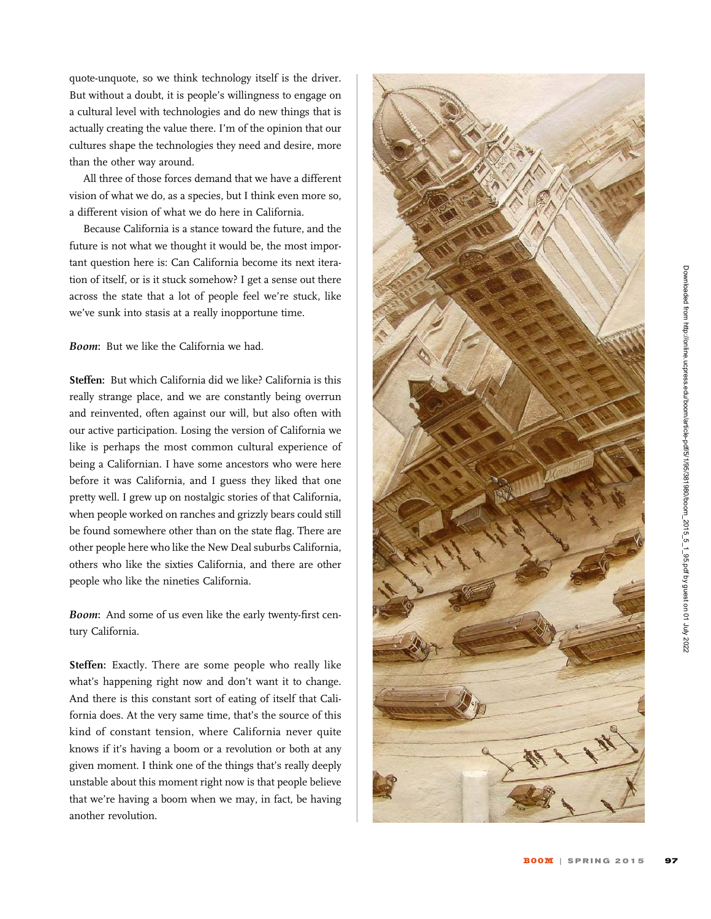quote-unquote, so we think technology itself is the driver. But without a doubt, it is people's willingness to engage on a cultural level with technologies and do new things that is actually creating the value there. I'm of the opinion that our cultures shape the technologies they need and desire, more than the other way around.

All three of those forces demand that we have a different vision of what we do, as a species, but I think even more so, a different vision of what we do here in California.

Because California is a stance toward the future, and the future is not what we thought it would be, the most important question here is: Can California become its next iteration of itself, or is it stuck somehow? I get a sense out there across the state that a lot of people feel we're stuck, like we've sunk into stasis at a really inopportune time.

Boom : But we like the California we had.

Steffen: But which California did we like? California is this really strange place, and we are constantly being overrun and reinvented, often against our will, but also often with our active participation. Losing the version of California we like is perhaps the most common cultural experience of being a Californian. I have some ancestors who were here before it was California, and I guess they liked that one pretty well. I grew up on nostalgic stories of that California, when people worked on ranches and grizzly bears could still be found somewhere other than on the state flag. There are other people here who like the New Deal suburbs California, others who like the sixties California, and there are other people who like the nineties California.

Boom : And some of us even like the early twenty-first century California.

Steffen: Exactly. There are some people who really like what's happening right now and don't want it to change. And there is this constant sort of eating of itself that California does. At the very same time, that's the source of this kind of constant tension, where California never quite knows if it's having a boom or a revolution or both at any given moment. I think one of the things that's really deeply unstable about this moment right now is that people believe that we're having a boom when we may, in fact, be having another revolution.

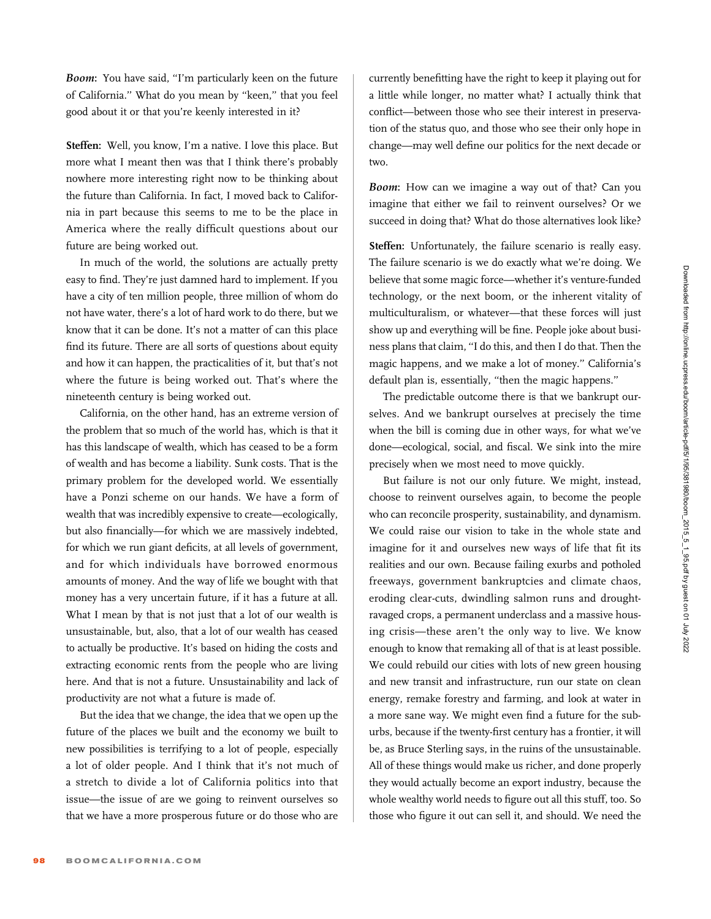Boom: You have said, "I'm particularly keen on the future of California.'' What do you mean by ''keen,'' that you feel good about it or that you're keenly interested in it?

Steffen: Well, you know, I'm a native. I love this place. But more what I meant then was that I think there's probably nowhere more interesting right now to be thinking about the future than California. In fact, I moved back to California in part because this seems to me to be the place in America where the really difficult questions about our future are being worked out.

In much of the world, the solutions are actually pretty easy to find. They're just damned hard to implement. If you have a city of ten million people, three million of whom do not have water, there's a lot of hard work to do there, but we know that it can be done. It's not a matter of can this place find its future. There are all sorts of questions about equity and how it can happen, the practicalities of it, but that's not where the future is being worked out. That's where the nineteenth century is being worked out.

California, on the other hand, has an extreme version of the problem that so much of the world has, which is that it has this landscape of wealth, which has ceased to be a form of wealth and has become a liability. Sunk costs. That is the primary problem for the developed world. We essentially have a Ponzi scheme on our hands. We have a form of wealth that was incredibly expensive to create—ecologically, but also financially—for which we are massively indebted, for which we run giant deficits, at all levels of government, and for which individuals have borrowed enormous amounts of money. And the way of life we bought with that money has a very uncertain future, if it has a future at all. What I mean by that is not just that a lot of our wealth is unsustainable, but, also, that a lot of our wealth has ceased to actually be productive. It's based on hiding the costs and extracting economic rents from the people who are living here. And that is not a future. Unsustainability and lack of productivity are not what a future is made of.

But the idea that we change, the idea that we open up the future of the places we built and the economy we built to new possibilities is terrifying to a lot of people, especially a lot of older people. And I think that it's not much of a stretch to divide a lot of California politics into that issue—the issue of are we going to reinvent ourselves so that we have a more prosperous future or do those who are

currently benefitting have the right to keep it playing out for a little while longer, no matter what? I actually think that conflict—between those who see their interest in preservation of the status quo, and those who see their only hope in change—may well define our politics for the next decade or two.

Boom: How can we imagine a way out of that? Can you imagine that either we fail to reinvent ourselves? Or we succeed in doing that? What do those alternatives look like?

Steffen: Unfortunately, the failure scenario is really easy. The failure scenario is we do exactly what we're doing. We believe that some magic force—whether it's venture-funded technology, or the next boom, or the inherent vitality of multiculturalism, or whatever—that these forces will just show up and everything will be fine. People joke about business plans that claim, ''I do this, and then I do that. Then the magic happens, and we make a lot of money.'' California's default plan is, essentially, ''then the magic happens.''

The predictable outcome there is that we bankrupt ourselves. And we bankrupt ourselves at precisely the time when the bill is coming due in other ways, for what we've done—ecological, social, and fiscal. We sink into the mire precisely when we most need to move quickly.

But failure is not our only future. We might, instead, choose to reinvent ourselves again, to become the people who can reconcile prosperity, sustainability, and dynamism. We could raise our vision to take in the whole state and imagine for it and ourselves new ways of life that fit its realities and our own. Because failing exurbs and potholed freeways, government bankruptcies and climate chaos, eroding clear-cuts, dwindling salmon runs and droughtravaged crops, a permanent underclass and a massive housing crisis—these aren't the only way to live. We know enough to know that remaking all of that is at least possible. We could rebuild our cities with lots of new green housing and new transit and infrastructure, run our state on clean energy, remake forestry and farming, and look at water in a more sane way. We might even find a future for the suburbs, because if the twenty-first century has a frontier, it will be, as Bruce Sterling says, in the ruins of the unsustainable. All of these things would make us richer, and done properly they would actually become an export industry, because the whole wealthy world needs to figure out all this stuff, too. So those who figure it out can sell it, and should. We need the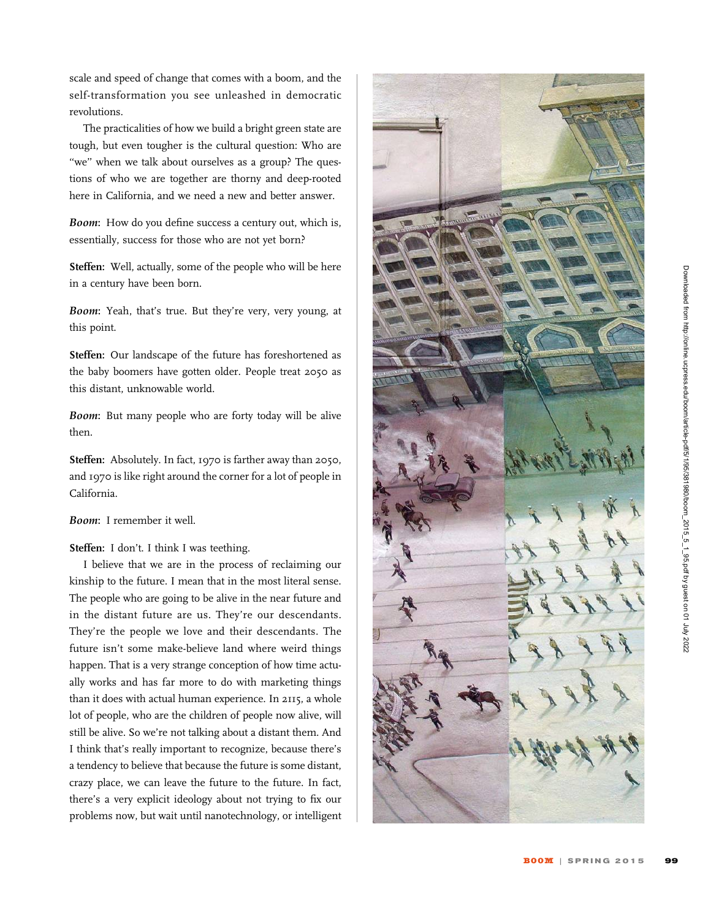scale and speed of change that comes with a boom, and the self-transformation you see unleashed in democratic revolutions.

The practicalities of how we build a bright green state are tough, but even tougher is the cultural question: Who are "we" when we talk about ourselves as a group? The questions of who we are together are thorny and deep-rooted here in California, and we need a new and better answer.

Boom: How do you define success a century out, which is, essentially, success for those who are not yet born?

Steffen: Well, actually, some of the people who will be here in a century have been born.

Boom : Yeah, that's true. But they're very, very young, at this point.

Steffen: Our landscape of the future has foreshortened as the baby boomers have gotten older. People treat 2050 as this distant, unknowable world.

Boom : But many people who are forty today will be alive then.

Steffen: Absolutely. In fact, 1970 is farther away than 2050, and 1970 is like right around the corner for a lot of people in California.

Boom : I remember it well.

Steffen: I don't. I think I was teething.

I believe that we are in the process of reclaiming our kinship to the future. I mean that in the most literal sense. The people who are going to be alive in the near future and in the distant future are us. They're our descendants. They're the people we love and their descendants. The future isn't some make-believe land where weird things happen. That is a very strange conception of how time actually works and has far more to do with marketing things than it does with actual human experience. In 2115, a whole lot of people, who are the children of people now alive, will still be alive. So we're not talking about a distant them. And I think that's really important to recognize, because there's a tendency to believe that because the future is some distant, crazy place, we can leave the future to the future. In fact, there's a very explicit ideology about not trying to fix our problems now, but wait until nanotechnology, or intelligent

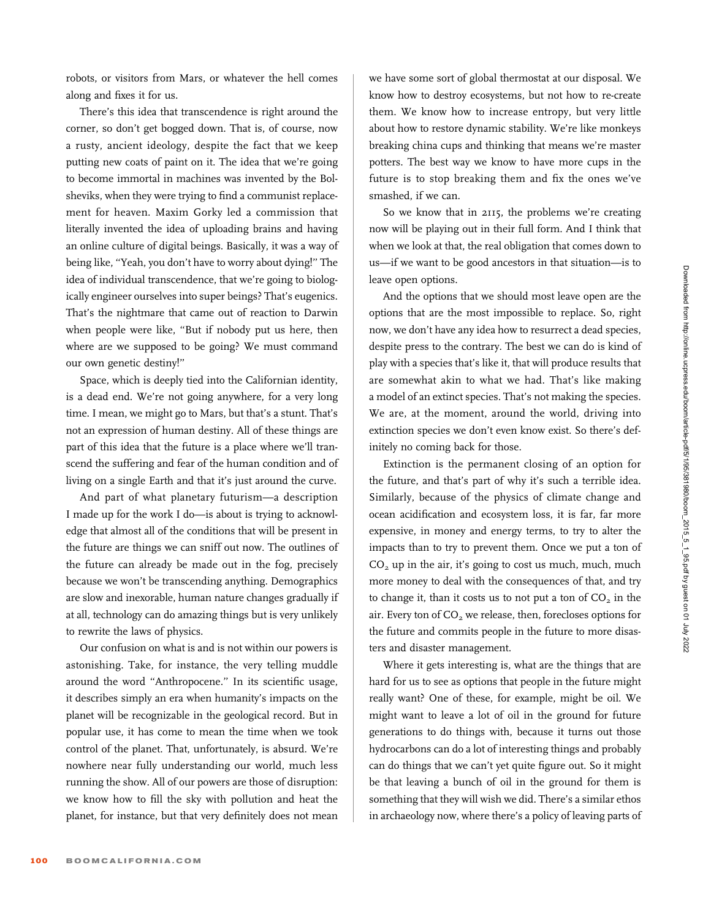robots, or visitors from Mars, or whatever the hell comes along and fixes it for us.

There's this idea that transcendence is right around the corner, so don't get bogged down. That is, of course, now a rusty, ancient ideology, despite the fact that we keep putting new coats of paint on it. The idea that we're going to become immortal in machines was invented by the Bolsheviks, when they were trying to find a communist replacement for heaven. Maxim Gorky led a commission that literally invented the idea of uploading brains and having an online culture of digital beings. Basically, it was a way of being like, ''Yeah, you don't have to worry about dying!'' The idea of individual transcendence, that we're going to biologically engineer ourselves into super beings? That's eugenics. That's the nightmare that came out of reaction to Darwin when people were like, "But if nobody put us here, then where are we supposed to be going? We must command our own genetic destiny!''

Space, which is deeply tied into the Californian identity, is a dead end. We're not going anywhere, for a very long time. I mean, we might go to Mars, but that's a stunt. That's not an expression of human destiny. All of these things are part of this idea that the future is a place where we'll transcend the suffering and fear of the human condition and of living on a single Earth and that it's just around the curve.

And part of what planetary futurism—a description I made up for the work I do—is about is trying to acknowledge that almost all of the conditions that will be present in the future are things we can sniff out now. The outlines of the future can already be made out in the fog, precisely because we won't be transcending anything. Demographics are slow and inexorable, human nature changes gradually if at all, technology can do amazing things but is very unlikely to rewrite the laws of physics.

Our confusion on what is and is not within our powers is astonishing. Take, for instance, the very telling muddle around the word ''Anthropocene.'' In its scientific usage, it describes simply an era when humanity's impacts on the planet will be recognizable in the geological record. But in popular use, it has come to mean the time when we took control of the planet. That, unfortunately, is absurd. We're nowhere near fully understanding our world, much less running the show. All of our powers are those of disruption: we know how to fill the sky with pollution and heat the planet, for instance, but that very definitely does not mean we have some sort of global thermostat at our disposal. We know how to destroy ecosystems, but not how to re-create them. We know how to increase entropy, but very little about how to restore dynamic stability. We're like monkeys breaking china cups and thinking that means we're master potters. The best way we know to have more cups in the future is to stop breaking them and fix the ones we've smashed, if we can.

So we know that in 2115, the problems we're creating now will be playing out in their full form. And I think that when we look at that, the real obligation that comes down to us—if we want to be good ancestors in that situation—is to leave open options.

And the options that we should most leave open are the options that are the most impossible to replace. So, right now, we don't have any idea how to resurrect a dead species, despite press to the contrary. The best we can do is kind of play with a species that's like it, that will produce results that are somewhat akin to what we had. That's like making a model of an extinct species. That's not making the species. We are, at the moment, around the world, driving into extinction species we don't even know exist. So there's definitely no coming back for those.

Extinction is the permanent closing of an option for the future, and that's part of why it's such a terrible idea. Similarly, because of the physics of climate change and ocean acidification and ecosystem loss, it is far, far more expensive, in money and energy terms, to try to alter the impacts than to try to prevent them. Once we put a ton of  $CO<sub>2</sub>$  up in the air, it's going to cost us much, much, much more money to deal with the consequences of that, and try to change it, than it costs us to not put a ton of  $CO<sub>2</sub>$  in the air. Every ton of  $CO<sub>2</sub>$  we release, then, forecloses options for the future and commits people in the future to more disasters and disaster management.

Where it gets interesting is, what are the things that are hard for us to see as options that people in the future might really want? One of these, for example, might be oil. We might want to leave a lot of oil in the ground for future generations to do things with, because it turns out those hydrocarbons can do a lot of interesting things and probably can do things that we can't yet quite figure out. So it might be that leaving a bunch of oil in the ground for them is something that they will wish we did. There's a similar ethos in archaeology now, where there's a policy of leaving parts of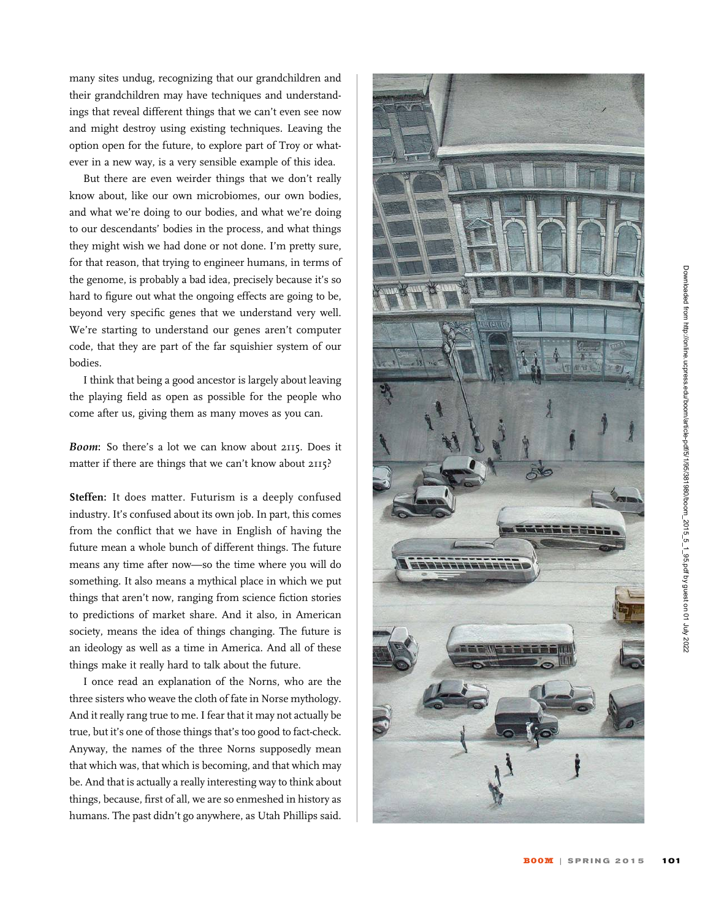But there are even weirder things that we don't really know about, like our own microbiomes, our own bodies, and what we're doing to our bodies, and what we're doing to our descendants' bodies in the process, and what things they might wish we had done or not done. I'm pretty sure, for that reason, that trying to engineer humans, in terms of the genome, is probably a bad idea, precisely because it's so hard to figure out what the ongoing effects are going to be, beyond very specific genes that we understand very well. We're starting to understand our genes aren't computer code, that they are part of the far squishier system of our bodies.

I think that being a good ancestor is largely about leaving the playing field as open as possible for the people who come after us, giving them as many moves as you can.

Boom : So there's a lot we can know about 2115. Does it matter if there are things that we can't know about 2115?

Steffen: It does matter. Futurism is a deeply confused industry. It's confused about its own job. In part, this comes from the conflict that we have in English of having the future mean a whole bunch of different things. The future means any time after now—so the time where you will do something. It also means a mythical place in which we put things that aren't now, ranging from science fiction stories to predictions of market share. And it also, in American society, means the idea of things changing. The future is an ideology as well as a time in America. And all of these things make it really hard to talk about the future.

I once read an explanation of the Norns, who are the three sisters who weave the cloth of fate in Norse mythology. And it really rang true to me. I fear that it may not actually be true, but it's one of those things that's too good to fact-check. Anyway, the names of the three Norns supposedly mean that which was, that which is becoming, and that which may be. And that is actually a really interesting way to think about things, because, first of all, we are so enmeshed in history as humans. The past didn't go anywhere, as Utah Phillips said.

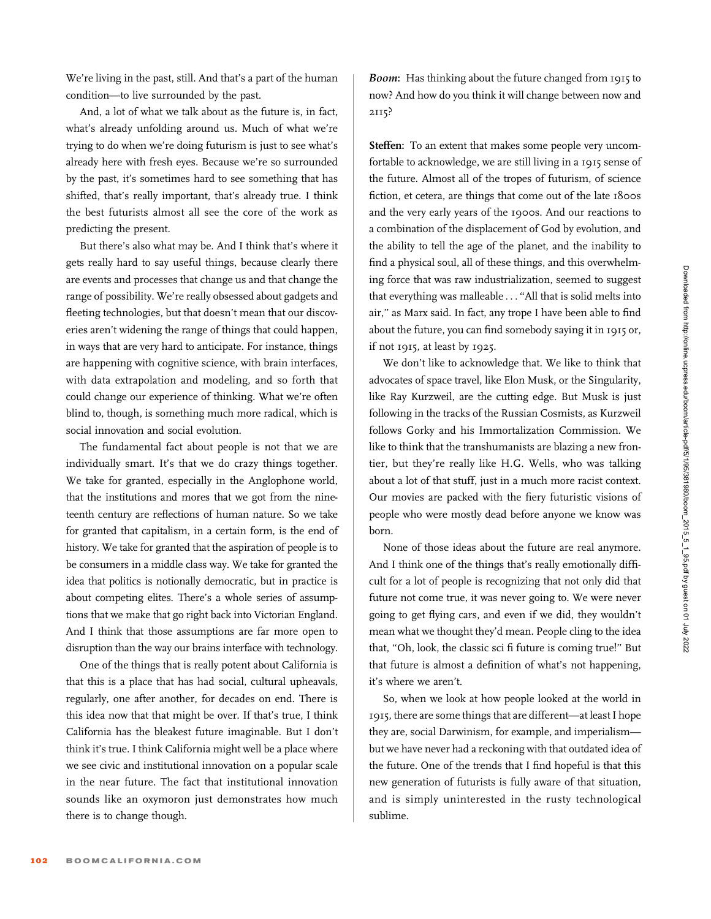We're living in the past, still. And that's a part of the human condition—to live surrounded by the past.

And, a lot of what we talk about as the future is, in fact, what's already unfolding around us. Much of what we're trying to do when we're doing futurism is just to see what's already here with fresh eyes. Because we're so surrounded by the past, it's sometimes hard to see something that has shifted, that's really important, that's already true. I think the best futurists almost all see the core of the work as predicting the present.

But there's also what may be. And I think that's where it gets really hard to say useful things, because clearly there are events and processes that change us and that change the range of possibility. We're really obsessed about gadgets and fleeting technologies, but that doesn't mean that our discoveries aren't widening the range of things that could happen, in ways that are very hard to anticipate. For instance, things are happening with cognitive science, with brain interfaces, with data extrapolation and modeling, and so forth that could change our experience of thinking. What we're often blind to, though, is something much more radical, which is social innovation and social evolution.

The fundamental fact about people is not that we are individually smart. It's that we do crazy things together. We take for granted, especially in the Anglophone world, that the institutions and mores that we got from the nineteenth century are reflections of human nature. So we take for granted that capitalism, in a certain form, is the end of history. We take for granted that the aspiration of people is to be consumers in a middle class way. We take for granted the idea that politics is notionally democratic, but in practice is about competing elites. There's a whole series of assumptions that we make that go right back into Victorian England. And I think that those assumptions are far more open to disruption than the way our brains interface with technology.

One of the things that is really potent about California is that this is a place that has had social, cultural upheavals, regularly, one after another, for decades on end. There is this idea now that that might be over. If that's true, I think California has the bleakest future imaginable. But I don't think it's true. I think California might well be a place where we see civic and institutional innovation on a popular scale in the near future. The fact that institutional innovation sounds like an oxymoron just demonstrates how much there is to change though.

Boom: Has thinking about the future changed from 1915 to now? And how do you think it will change between now and 2115?

Steffen: To an extent that makes some people very uncomfortable to acknowledge, we are still living in a 1915 sense of the future. Almost all of the tropes of futurism, of science fiction, et cetera, are things that come out of the late 1800s and the very early years of the 1900s. And our reactions to a combination of the displacement of God by evolution, and the ability to tell the age of the planet, and the inability to find a physical soul, all of these things, and this overwhelming force that was raw industrialization, seemed to suggest that everything was malleable ... ''All that is solid melts into air,'' as Marx said. In fact, any trope I have been able to find about the future, you can find somebody saying it in 1915 or, if not 1915, at least by 1925.

We don't like to acknowledge that. We like to think that advocates of space travel, like Elon Musk, or the Singularity, like Ray Kurzweil, are the cutting edge. But Musk is just following in the tracks of the Russian Cosmists, as Kurzweil follows Gorky and his Immortalization Commission. We like to think that the transhumanists are blazing a new frontier, but they're really like H.G. Wells, who was talking about a lot of that stuff, just in a much more racist context. Our movies are packed with the fiery futuristic visions of people who were mostly dead before anyone we know was born.

None of those ideas about the future are real anymore. And I think one of the things that's really emotionally difficult for a lot of people is recognizing that not only did that future not come true, it was never going to. We were never going to get flying cars, and even if we did, they wouldn't mean what we thought they'd mean. People cling to the idea that, ''Oh, look, the classic sci fi future is coming true!'' But that future is almost a definition of what's not happening, it's where we aren't.

So, when we look at how people looked at the world in 1915, there are some things that are different—at least I hope they are, social Darwinism, for example, and imperialism but we have never had a reckoning with that outdated idea of the future. One of the trends that I find hopeful is that this new generation of futurists is fully aware of that situation, and is simply uninterested in the rusty technological sublime.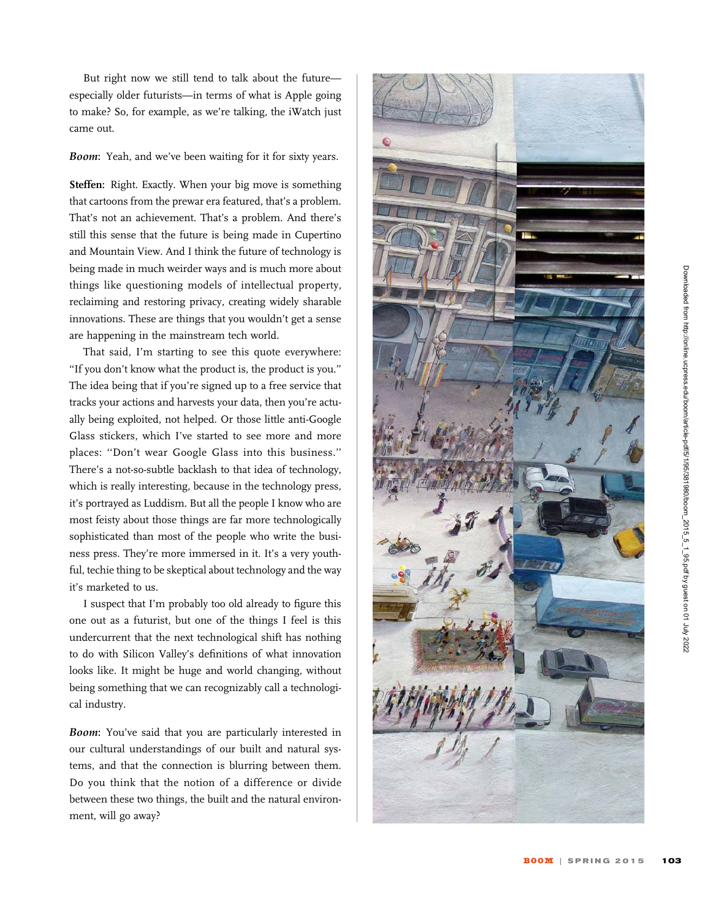But right now we still tend to talk about the future especially older futurists—in terms of what is Apple going to make? So, for example, as we're talking, the iWatch just came out.

Boom : Yeah, and we've been waiting for it for sixty years.

Steffen: Right. Exactly. When your big move is something that cartoons from the prewar era featured, that's a problem. That's not an achievement. That's a problem. And there's still this sense that the future is being made in Cupertino and Mountain View. And I think the future of technology is being made in much weirder ways and is much more about things like questioning models of intellectual property, reclaiming and restoring privacy, creating widely sharable innovations. These are things that you wouldn't get a sense are happening in the mainstream tech world.

That said, I'm starting to see this quote everywhere: ''If you don't know what the product is, the product is you.'' The idea being that if you're signed up to a free service that tracks your actions and harvests your data, then you're actually being exploited, not helped. Or those little anti-Google Glass stickers, which I've started to see more and more places: ''Don't wear Google Glass into this business.'' There's a not-so-subtle backlash to that idea of technology, which is really interesting, because in the technology press, it's portrayed as Luddism. But all the people I know who are most feisty about those things are far more technologically sophisticated than most of the people who write the business press. They're more immersed in it. It's a very youthful, techie thing to be skeptical about technology and the way it's marketed to us.

I suspect that I'm probably too old already to figure this one out as a futurist, but one of the things I feel is this undercurrent that the next technological shift has nothing to do with Silicon Valley's definitions of what innovation looks like. It might be huge and world changing, without being something that we can recognizably call a technological industry.

Boom : You've said that you are particularly interested in our cultural understandings of our built and natural systems, and that the connection is blurring between them. Do you think that the notion of a difference or divide between these two things, the built and the natural environment, will go away?

![](_page_8_Picture_7.jpeg)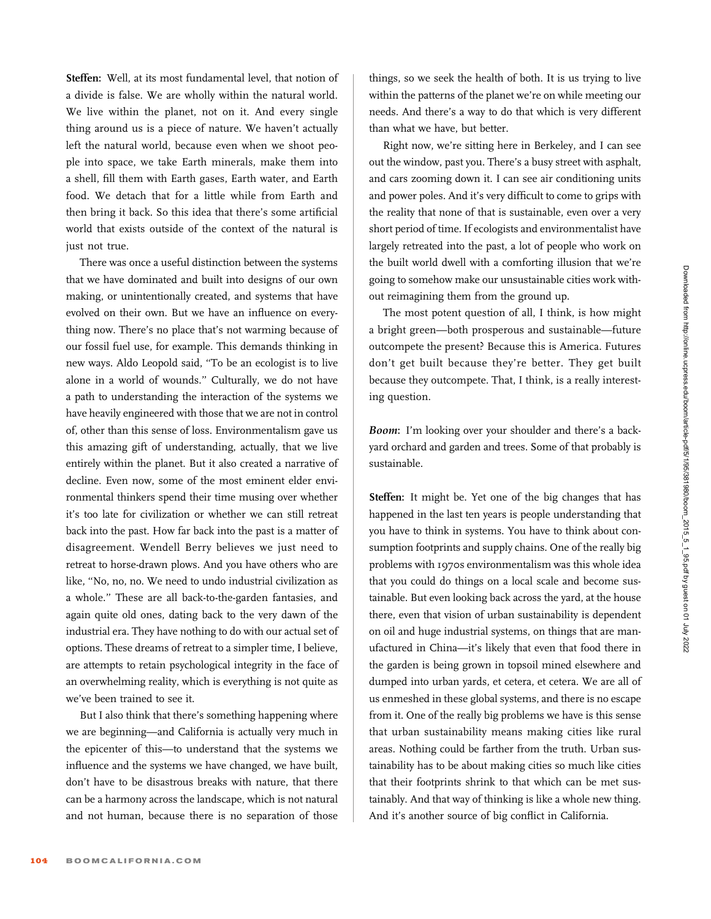Steffen: Well, at its most fundamental level, that notion of a divide is false. We are wholly within the natural world. We live within the planet, not on it. And every single thing around us is a piece of nature. We haven't actually left the natural world, because even when we shoot people into space, we take Earth minerals, make them into a shell, fill them with Earth gases, Earth water, and Earth food. We detach that for a little while from Earth and then bring it back. So this idea that there's some artificial world that exists outside of the context of the natural is just not true.

There was once a useful distinction between the systems that we have dominated and built into designs of our own making, or unintentionally created, and systems that have evolved on their own. But we have an influence on everything now. There's no place that's not warming because of our fossil fuel use, for example. This demands thinking in new ways. Aldo Leopold said, ''To be an ecologist is to live alone in a world of wounds.'' Culturally, we do not have a path to understanding the interaction of the systems we have heavily engineered with those that we are not in control of, other than this sense of loss. Environmentalism gave us this amazing gift of understanding, actually, that we live entirely within the planet. But it also created a narrative of decline. Even now, some of the most eminent elder environmental thinkers spend their time musing over whether it's too late for civilization or whether we can still retreat back into the past. How far back into the past is a matter of disagreement. Wendell Berry believes we just need to retreat to horse-drawn plows. And you have others who are like, ''No, no, no. We need to undo industrial civilization as a whole.'' These are all back-to-the-garden fantasies, and again quite old ones, dating back to the very dawn of the industrial era. They have nothing to do with our actual set of options. These dreams of retreat to a simpler time, I believe, are attempts to retain psychological integrity in the face of an overwhelming reality, which is everything is not quite as we've been trained to see it.

But I also think that there's something happening where we are beginning—and California is actually very much in the epicenter of this—to understand that the systems we influence and the systems we have changed, we have built, don't have to be disastrous breaks with nature, that there can be a harmony across the landscape, which is not natural and not human, because there is no separation of those things, so we seek the health of both. It is us trying to live within the patterns of the planet we're on while meeting our needs. And there's a way to do that which is very different than what we have, but better.

Right now, we're sitting here in Berkeley, and I can see out the window, past you. There's a busy street with asphalt, and cars zooming down it. I can see air conditioning units and power poles. And it's very difficult to come to grips with the reality that none of that is sustainable, even over a very short period of time. If ecologists and environmentalist have largely retreated into the past, a lot of people who work on the built world dwell with a comforting illusion that we're going to somehow make our unsustainable cities work without reimagining them from the ground up.

The most potent question of all, I think, is how might a bright green—both prosperous and sustainable—future outcompete the present? Because this is America. Futures don't get built because they're better. They get built because they outcompete. That, I think, is a really interesting question.

Boom: I'm looking over your shoulder and there's a backyard orchard and garden and trees. Some of that probably is sustainable.

Steffen: It might be. Yet one of the big changes that has happened in the last ten years is people understanding that you have to think in systems. You have to think about consumption footprints and supply chains. One of the really big problems with 1970s environmentalism was this whole idea that you could do things on a local scale and become sustainable. But even looking back across the yard, at the house there, even that vision of urban sustainability is dependent on oil and huge industrial systems, on things that are manufactured in China—it's likely that even that food there in the garden is being grown in topsoil mined elsewhere and dumped into urban yards, et cetera, et cetera. We are all of us enmeshed in these global systems, and there is no escape from it. One of the really big problems we have is this sense that urban sustainability means making cities like rural areas. Nothing could be farther from the truth. Urban sustainability has to be about making cities so much like cities that their footprints shrink to that which can be met sustainably. And that way of thinking is like a whole new thing. And it's another source of big conflict in California.